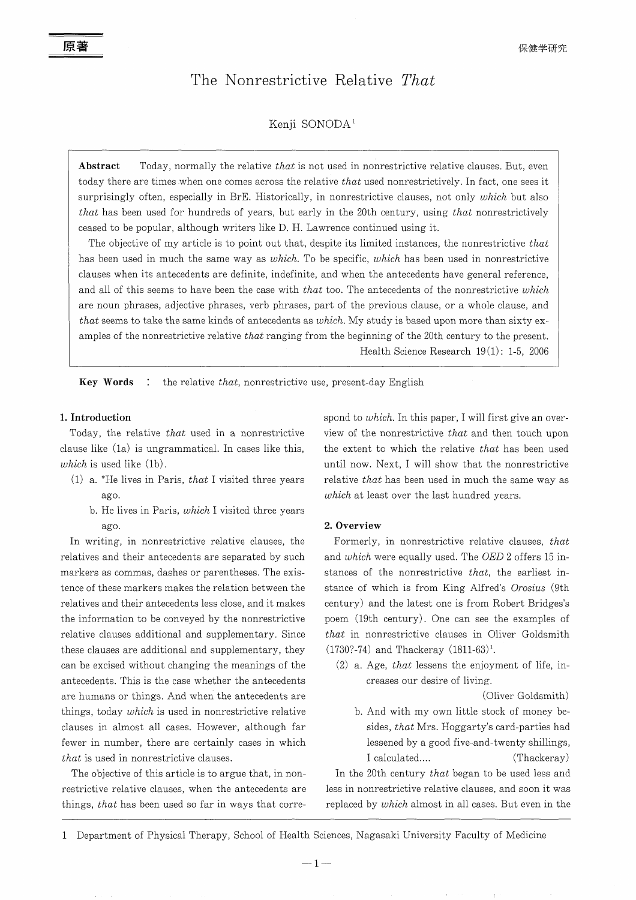# **The Nonrestrictive Relative** *That*

## Kenji SONODA<sup>1</sup>

**Abstract** Today, normally the relative *that* is not used in nonrestrictive relative clauses. But, even today there are times when one comes across the relative *that* used nonrestrictively. In fact, one sees it surprisingly often, especially in BrE. Historically, in nonrestrictive clauses, not only *which* but also *that* has been used for hundreds of years, but early in the 20th century, using *that* nonrestrictively ceased to be popular, although writers like D. H. Lawrence continued using it.

The objective of my article is to point out that, despite its limited instances, the nonrestrictive *that* has been used in much the same way as *which.* To be specific, *which* has been used in nonrestrictive clauses when its antecedents are definite, indefinite, and when the antecedents have general reference, and all of this seems to have been the case with *that* too. The antecedents of the nonrestrictive *which* are noun phrases, adjective phrases, verb phrases, part of the previous clause, or a whole clause, and *that* seems to take the same kinds of antecedents as *which.* My study is based upon more than sixty examples of the nonrestrictive relative *that* ranging from the beginning of the 20th century to the present. Health Science Research 19 (1): 1-5, 2006

**Key Words** : the relative *that*, nonrestrictive use, present-day English

### **1. Introduction**

Today, the relative *that* used in a nonrestrictive clause like (la) is ungrammatical. In cases like this, *which* is used like (1b).

- (1) a. \*He lives in Paris, *that* I visited three years ago.
	- b. He lives in Paris, *which* I visited three years ago.

In writing, in nonrestrictive relative clauses, the relatives and their antecedents are separated by such markers as commas, dashes or parentheses. The existence of these markers makes the relation between the relatives and their antecedents less close, and it makes the information to be conveyed by the nonrestrictive relative clauses additional and supplementary. Since these clauses are additional and supplementary, they can be excised without changing the meanings of the antecedents. This is the case whether the antecedents are humans or things. And when the antecedents are things, today *which* is used in nonrestrictive relative clauses in almost all cases. However, although far fewer in number, there are certainly cases in which *that* is used in nonrestrictive clauses.

The objective of this article is to argue that, in nonrestrictive relative clauses, when the antecedents are things, *that* has been used so far in ways that correspond to *which.* In this paper, I will first give an overview of the nonrestrictive *that* and then touch upon the extent to which the relative *that* has been used until now. Next, I will show that the nonrestrictive relative *that* has been used in much the same way as *which* at least over the last hundred years.

#### **2. Overview**

Formerly, in nonrestrictive relative clauses, *that* and *which* were equally used. The *OED* 2 offers 15 instances of the nonrestrictive *that,* the earliest instance of which is from King Alfred's *Orosius* (9th century) and the latest one is from Robert Bridges's poem (19th century). One can see the examples of *that* in nonrestrictive clauses in Oliver Goldsmith  $(1730? - 74)$  and Thackeray  $(1811-63)^1$ .

(2) a. Age, *that* lessens the enjoyment of life, increases our desire of living.

(Oliver Goldsmith)

b. And with my own little stock of money besides, *that* Mrs. Hoggarty's card-parties had lessened by a good five-and-twenty shillings, I calculated.... (Thackeray)

In the 20th century *that* began to be used less and less in nonrestrictive relative clauses, and soon it was replaced by *which* almost in all cases. But even in the

 $-1-$ 

<sup>1</sup> Department of Physical Therapy, School of Health Sciences, Nagasaki University Faculty of Medicine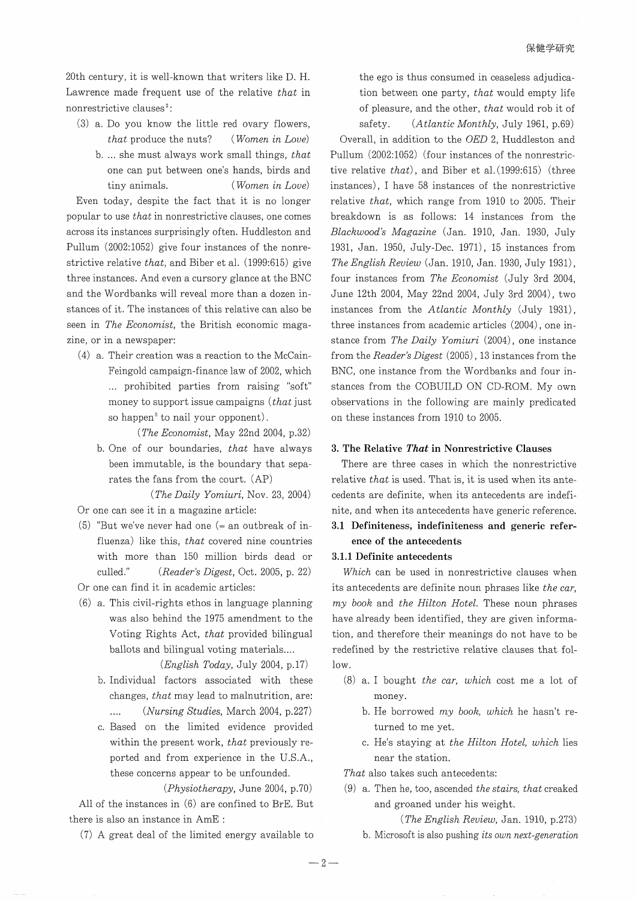20th century, it is well-known that writers like D. H. Lawrence made frequent use of the relative *that* in nonrestrictive clauses<sup>2</sup>:

(3) a. Do you know the little red ovary flowers, *that* produce the nuts? *(Women in Love)* b.... she must always work small things, *that* one can put between one's hands, birds and tiny animals. *(Women in Love)*

Even today, despite the fact that it is no longer popular to use *that* in nonrestrictive clauses, one comes across its instances surprisingly often. Huddleston and Pullum (2002:1052) give four instances of the nonrestrictive relative *that,* and Biber et al. (1999:615) give three instances. And even a cursory glance at the BNC and the Wordbanks will reveal more than a dozen instances of it. The instances of this relative can also be seen in *The Economist,* the British economic magazine, or in a newspaper:

- (4) a. Their creation was a reaction to the McCain-Feingold campaign-finance law of 2002, which ... prohibited parties from raising "soft" money to support issue campaigns *(that* just so happen<sup>3</sup> to nail your opponent).
	- *(The Economist,* May 22nd 2004, p.32) b. One of our boundaries, *that* have always been immutable, is the boundary that separates the fans from the court. (AP)

*(The Daily Yomiuri,* Nov. 23, 2004) Or one can see it in a magazine article:

- $(5)$  "But we've never had one  $(=$  an outbreak of influenza) like this, *that* covered nine countries with more than 150 million birds dead or culled." *(Reader's Digest,* Oct. 2005, p. 22)
- Or one can find it in academic articles:
- (6) a. This civil-rights ethos in language planning was also behind the 1975 amendment to the Voting Rights Act, *that* provided bilingual ballots and bilingual voting materials....
	- *(English Today,* July 2004, p.17) b. Individual factors associated with these changes, *that* may lead to malnutrition, are:
		- $\mathcal{L}_{\mathcal{L}}$ *(Nursing Studies,* March 2004, p.227)
	- c. Based on the limited evidence provided within the present work, *that* previously reported and from experience in the U.S.A., these concerns appear to be unfounded.

*(Physiotherapy,* June 2004, p.70)

All of the instances in (6) are confined to BrE. But there is also an instance in AmE :

(7) A great deal of the limited energy available to

the ego is thus consumed in ceaseless adjudication between one party, *that* would empty life of pleasure, and the other, *that* would rob it of safety. *(Atlantic Monthly,* July 1961, p.69)

Overall, in addition to the *OED* 2, Huddleston and Pullum (2002:1052) (four instances of the nonrestrictive relative *that),* and Biber et al. (1999:615) (three instances), I have 58 instances of the nonrestrictive relative *that,* which range from 1910 to 2005. Their breakdown is as follows: 14 instances from the *Blackwood's Magazine* (Jan. 1910, Jan. 1930, July 1931, Jan. 1950, July-Dec. 1971), 15 instances from *The English Review* (Jan. 1910, Jan. 1930, July 1931), four instances from *The Economist* (July 3rd 2004, June 12th 2004, May 22nd 2004, July 3rd 2004), two instances from the *Atlantic Monthly* (July 1931), three instances from academic articles  $(2004)$ , one instance from *The Daily Yomiuri* (2004), one instance from the *Reader's Digest* (2005),13 instances from the BNC, one instance from the Wordbanks and four instances from the COBUILD ON CD-ROM. My own observations in the following are mainly predicated on these instances from 1910 to 2005.

#### **3. The Relative** *That* **in Nonrestrictive Clauses**

There are three cases in which the nonrestrictive relative *that* is used. That is, it is used when its antecedents are definite, when its antecedents are indefinite, and when its antecedents have generic reference.

## **3.1 Definiteness, indefiniteness and generic reference of the antecedents**

## **3.1.1 Definite antecedents**

*Which* can be used in nonrestrictive clauses when its antecedents are definite noun phrases like *the car, my book* and *the Hilton Hotel.* These noun phrases have already been identified, they are given information, and therefore their meanings do not have to be redefined by the restrictive relative clauses that follow.

- (8) a. I bought *the car, which* cost me a lot of money.
	- b. He borrowed *my book, which* he hasn't returned to me yet.
	- c. He's staying at *the Hilton Hotel, which* lies near the station.

*That* also takes such antecedents:

(9) a. Then he, too, ascended *the stairs, that* creaked and groaned under his weight.

*(The English Review,* Jan. 1910, p.273)

b. Microsoft is also pushing *its own next-generation*

 $-2-$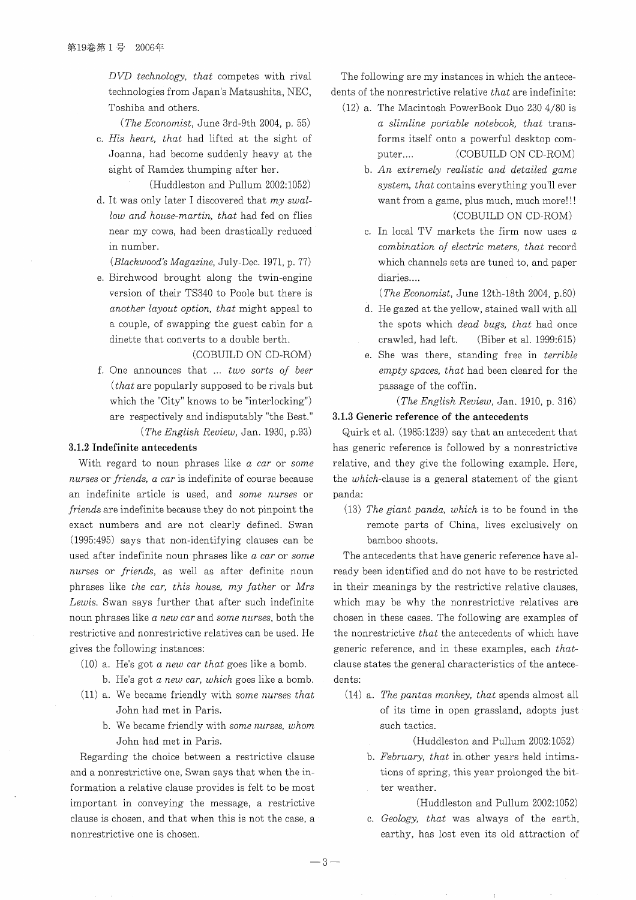*DVD technology, that* competes with rival technologies from Japan's Matsushita, NEC, Toshiba and others.

*(The Economist,* June 3rd-9th 2004, p. 55)

c. *His heart, that* had lifted at the sight of Joanna, had become suddenly heavy at the sight of Ramdez thumping after her.

(Huddleston and Pullum 2002:1052)

d. It was only later I discovered that *my swallow and house-martin, that* had fed on flies near my cows, had been drastically reduced in number.

*(Blackwood's Magazine,* July-Dec. 1971, p. 77)

e. Birchwood brought along the twin-engine version of their TS340 to Poole but there is *another layout option, that* might appeal to a couple, of swapping the guest cabin for a dinette that converts to a double berth.

(COBUILD ON CD-ROM)

f. One announces that ... *two sorts of beer (that* are popularly supposed to be rivals but which the "City" knows to be "interlocking") are respectively and indisputably "the Best." *(The English Review,* Jan. 1930, p.93)

#### **3.1.2 Indefinite antecedents**

With regard to noun phrases like *a car* or *some nurses* or *friends, a car* is indefinite of course because an indefinite article is used, and *some nurses* or *friends* are indefinite because they do not pinpoint the exact numbers and are not clearly defined. Swan (1995:495) says that non-identifying clauses can be used after indefinite noun phrases like *a car* or *some nurses* or *friends,* as well as after definite noun phrases like *the car, this house, my father* or *Mrs Lewis.* Swan says further that after such indefinite noun phrases like *a new car* and *some nurses,* both the restrictive and nonrestrictive relatives can be used. He gives the following instances:

- (10) a. He's got *a new car that* goes like a bomb.
	- b. He's got *a new car, which* goes like a bomb.
- (ll) a. We became friendly with *some nurses that* John had met in Paris.
	- b. We became friendly with *some nurses, whom* John had met in Paris.

Regarding the choice between a restrictive clause and a nonrestrictive one, Swan says that when the information a relative clause provides is felt to be most important in conveying the message, a restrictive clause is chosen, and that when this is not the case, a nonrestrictive one is chosen.

The following are my instances in which the antecedents of the nonrestrictive relative *that* are indefinite:

- (12) a. The Macintosh PowerBook Duo 230 4/80 is *a slimline portable notebook, that* transforms itself onto a powerful desktop computer.... (COBUILD ON CD-ROM)
	- b. *An extremely realistic and detailed game system, that* contains everything you'll ever want from a game, plus much, much more!!! (COBUILD ON CD-ROM)
	- c. In local TV markets the firm now uses *a combination of electric meters, that* record which channels sets are tuned to, and paper diaries....

*(The Economist,* June 12th-18th 2004, p.60)

- d. He gazed at the yellow, stained wall with all the spots which *dead bugs, that* had once crawled, had left. (Biber et al. 1999:615)
- e. She was there, standing free in *terrible empty spaces, that* had been cleared for the passage of the coffin.

*(The English Review,* Jan. 1910, p. 316)

#### **3.1.3 Generic reference of the antecedents**

Quirk et al. (1985:1239) say that an antecedent that has generic reference is followed by a nonrestrictive relative, and they give the following example. Here, the which-clause is a general statement of the giant panda:

*(13) The giant panda, which* is to be found in the remote parts of China, lives exclusively on bamboo shoots.

The antecedents that have generic reference have already been identified and do not have to be restricted in their meanings by the restrictive relative clauses, which may be why the nonrestrictive relatives are chosen in these cases. The following are examples of the nonrestrictive *that* the antecedents of which have generic reference, and in these examples, each *that*clause states the general characteristics of the antecedents:

(14) a. *The pantas monkey, that* spends almost all of its time in open grassland, adopts just such tactics.

(Huddleston and Pullum 2002:1052)

b. *February, that* in other years held intimations of spring, this year prolonged the bitter weather.

(Huddleston and Pullum 2002:1052)

c. *Geology, that* was always of the earth, earthy, has lost even its old attraction of

 $-3-$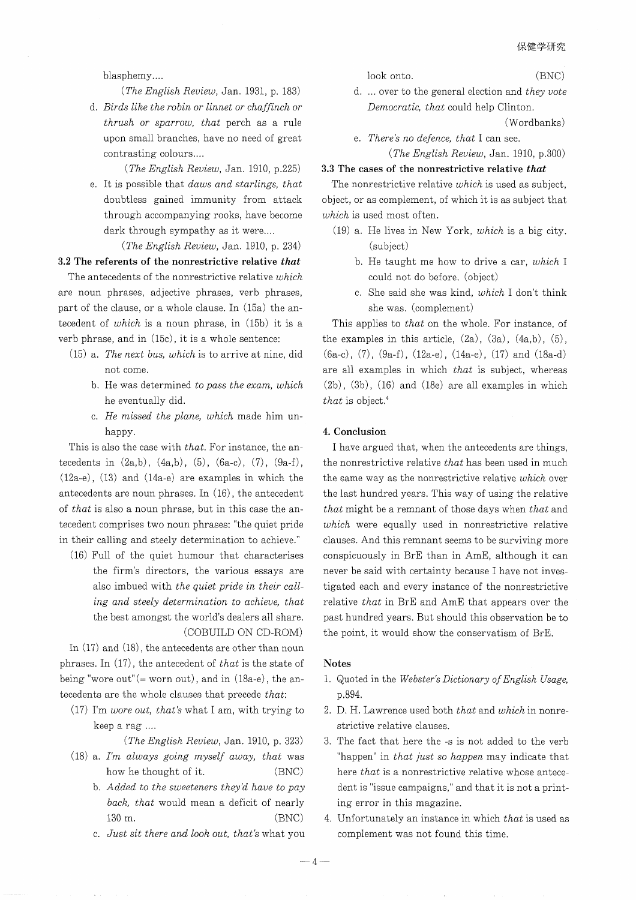### blasphemy....

*(The English Review,* Jan. 1931, p. 183)

d. *Birds like the robin or linnet or chaffinch or thrush or sparrow, that* perch as a rule upon small branches, have no need of great contrasting colours....

*(The English Review,* Jan. 1910, p.225)

e. It is possible that *daws and starlings, that* doubtless gained immunity from attack through accompanying rooks, have become dark through sympathy as it were....

*(The English Review,* Jan. 1910, p. 234)

#### 3.2 The referents of the nonrestrictive relative *that*

The antecedents of the nonrestrictive relative *which* are noun phrases, adjective phrases, verb phrases, part of the clause, or a whole clause. In (15a) the antecedent of *which* is a noun phrase, in (15b) it is a verb phrase, and in (15c) , it is a whole sentence:

- (15) a. *The next bus, which* is to arrive at nine, did not come.
	- b. He was determined *to pass the exam, which* he eventually did.
	- c. *He missed the plane, which* made him unhappy.

This is also the case with *that.* For instance, the antecedents in  $(2a,b)$ ,  $(4a,b)$ ,  $(5)$ ,  $(6a-c)$ ,  $(7)$ ,  $(9a-f)$ , (12a-e), (13) and (14a-e) are examples in which the antecedents are noun phrases. In (16), the antecedent of *that* is also a noun phrase, but in this case the antecedent comprises two noun phrases: "the quiet pride in their calling and steely determination to achieve."

(16) Full of the quiet humour that characterises the firm's directors, the various essays are also imbued with *the quiet pride in their calling and steely determination to achieve, that* the best amongst the world's dealers all share. (COBUILD ON CD-ROM)

In (17) and (18), the antecedents are other than noun phrases. In (17), the antecedent of *that* is the state of being "wore out"  $($  = worn out), and in  $(18a-e)$ , the antecedents are the whole clauses that precede *that:*

(17) I'm *wore out, that's* what I am, with trying to keep a rag ....

*(The English Review,* Jan. 1910, p. 323)

- (18) a. *I'm always going myself away, that* was how he thought of it. (BNC)
	- b. *Added to the sweeteners they'd have to pay back, that* would mean a deficit of nearly 130 m. (BNC)
	- c. *Just sit there and look out, that's* what you

look onto. (BNC)

d. ... over to the general election and *they vote Democratic, that* could help Clinton.

(Wordbanks)

e. *There's no defence, that* I can see. *(The English Review,* Jan. 1910, p.300)

#### 3.3 The cases of the nonrestrictive relative *that*

The nonrestrictive relative *which* is used as subject, object, or as complement, of which it is as subject that *which* is used most often.

- (19) a. He lives in New York, *which* is a big city. (subject)
	- b. He taught me how to drive a car, *which* I could not do before. (object)
	- c. She said she was kind, *which* I don't think she was. (complement)

This applies to *that* on the whole. For instance, of the examples in this article,  $(2a)$ ,  $(3a)$ ,  $(4a,b)$ ,  $(5)$ ,  $(6a-c)$ ,  $(7)$ ,  $(9a-f)$ ,  $(12a-e)$ ,  $(14a-e)$ ,  $(17)$  and  $(18a-d)$ are all examples in which *that* is subject, whereas (2b), (3b), (16) and (18e) are all examples in which *that* is object. <sup>4</sup>

#### 4. Conclusion

I have argued that, when the antecedents are things, the nonrestrictive relative *that* has been used in much the same way as the nonrestrictive relative *which* over the last hundred years. This way of using the relative *that* might be a remnant of those days when *that* and *which* were equally used in nonrestrictive relative clauses. And this remnant seems to be surviving more conspicuously in BrE than in ArnE, although it can never be said with certainty because I have not investigated each and every instance of the nonrestrictive relative *that* in BrE and AmE that appears over the past hundred years. But should this observation be to the point, it would show the conservatism of BrE.

#### Notes

- 1. Quoted in the *Webster's Dictionary ofEnglish Usage,* p.894.
- 2. D. H. Lawrence used both *that* and *which* in nonrestrictive relative clauses.
- 3. The fact that here the -s is not added to the verb "happen" in *that just so happen* may indicate that here *that* is a nonrestrictive relative whose antecedent is "issue campaigns," and that it is not a printing error in this magazine.
- 4. Unfortunately an instance in which *that* is used as complement was not found this time.